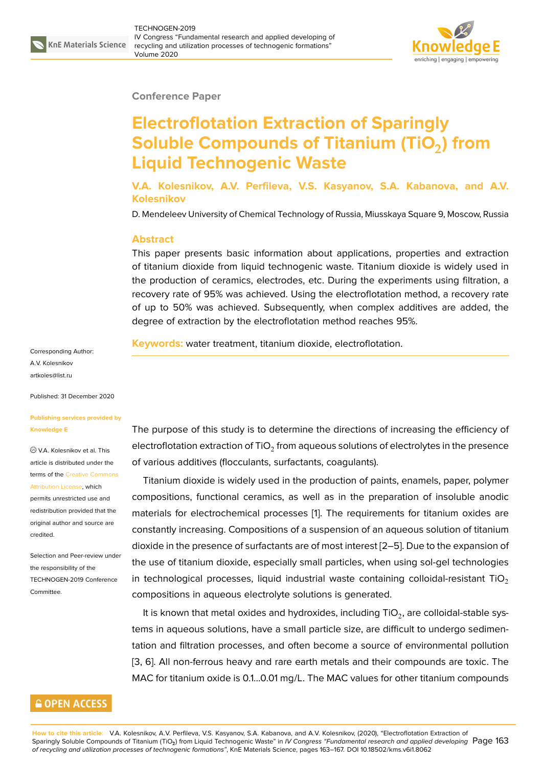

#### **Conference Paper**

# **Electroflotation Extraction of Sparingly Soluble Compounds of Titanium (TiO**<sup>2</sup> **) from Liquid Technogenic Waste**

**V.A. Kolesnikov, A.V. Perfileva, V.S. Kasyanov, S.A. Kabanova, and A.V. Kolesnikov**

D. Mendeleev University of Chemical Technology of Russia, Miusskaya Square 9, Moscow, Russia

#### **Abstract**

This paper presents basic information about applications, properties and extraction of titanium dioxide from liquid technogenic waste. Titanium dioxide is widely used in the production of ceramics, electrodes, etc. During the experiments using filtration, a recovery rate of 95% was achieved. Using the electroflotation method, a recovery rate of up to 50% was achieved. Subsequently, when complex additives are added, the degree of extraction by the electroflotation method reaches 95%.

**Keywords:** water treatment, titanium dioxide, electroflotation.

Corresponding Author: A.V. Kolesnikov artkoles@list.ru

Published: 31 December 2020

#### **[Publishing serv](mailto:artkoles@list.ru)ices provided by Knowledge E**

V.A. Kolesnikov et al. This article is distributed under the terms of the Creative Commons Attribution License, which

permits unrestricted use and redistribution provided that the original auth[or and source are](https://creativecommons.org/licenses/by/4.0/) [credited.](https://creativecommons.org/licenses/by/4.0/)

Selection and Peer-review under the responsibility of the TECHNOGEN-2019 Conference Committee.

### **GOPEN ACCESS**

The purpose of this study is to determine the directions of increasing the efficiency of electroflotation extraction of TiO $_2$  from aqueous solutions of electrolytes in the presence of various additives (flocculants, surfactants, coagulants).

Titanium dioxide is widely used in the production of paints, enamels, paper, polymer compositions, functional ceramics, as well as in the preparation of insoluble anodic materials for electrochemical processes [1]. The requirements for titanium oxides are constantly increasing. Compositions of a suspension of an aqueous solution of titanium dioxide in the presence of surfactants are of most interest [2–5]. Due to the expansion of the use of titanium dioxide, especially sm[al](#page-4-0)l particles, when using sol-gel technologies in technological processes, liquid industrial waste containing colloidal-resistant  $TiO<sub>2</sub>$ compositions in aqueous electrolyte solutions is generat[ed](#page-4-1).

It is known that metal oxides and hydroxides, including TiO $_2$ , are colloidal-stable systems in aqueous solutions, have a small particle size, are difficult to undergo sedimentation and filtration processes, and often become a source of environmental pollution [3, 6]. All non-ferrous heavy and rare earth metals and their compounds are toxic. The MAC for titanium oxide is 0.1...0.01 mg/L. The MAC values for other titanium compounds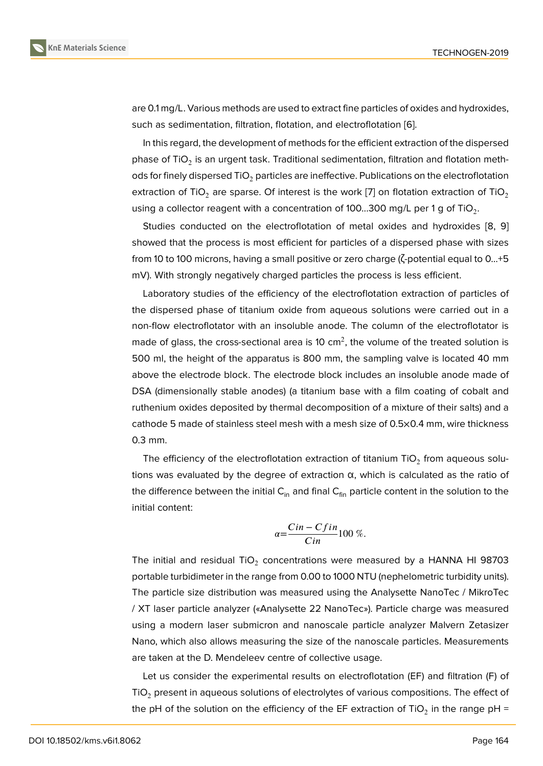are 0.1 mg/L. Various methods are used to extract fine particles of oxides and hydroxides, such as sedimentation, filtration, flotation, and electroflotation [6].

In this regard, the development of methods for the efficient extraction of the dispersed phase of TiO $_2$  is an urgent task. Traditional sedimentation, filtration and flotation methods for finely dispersed  $TiO<sub>2</sub>$  particles are ineffective. Publicatio[ns](#page-4-2) on the electroflotation extraction of TiO<sub>2</sub> are sparse. Of interest is the work [7] on flotation extraction of TiO<sub>2</sub> using a collector reagent with a concentration of 100...300 mg/L per 1 g of TiO $_2$ .

Studies conducted on the electroflotation of metal oxides and hydroxides [8, 9] showed that the process is most efficient for particles [o](#page-4-3)f a dispersed phase with sizes from 10 to 100 microns, having a small positive or zero charge (ζ-potential equal to 0...+5 mV). With strongly negatively charged particles the process is less efficient.

Laboratory studies of the efficiency of the electroflotation extraction of particles of the dispersed phase of titanium oxide from aqueous solutions were carried out in a non-flow electroflotator with an insoluble anode. The column of the electroflotator is made of glass, the cross-sectional area is 10 cm $^2$ , the volume of the treated solution is 500 ml, the height of the apparatus is 800 mm, the sampling valve is located 40 mm above the electrode block. The electrode block includes an insoluble anode made of DSA (dimensionally stable anodes) (a titanium base with a film coating of cobalt and ruthenium oxides deposited by thermal decomposition of a mixture of their salts) and a cathode 5 made of stainless steel mesh with a mesh size of 0.5×0.4 mm, wire thickness 0.3 mm.

The efficiency of the electroflotation extraction of titanium TiO $_2$  from aqueous solutions was evaluated by the degree of extraction α, which is calculated as the ratio of the difference between the initial  $C_{in}$  and final  $C_{fin}$  particle content in the solution to the initial content:

$$
\alpha = \frac{Cin - Cfin}{Cin} 100\%
$$

The initial and residual TiO $_2$  concentrations were measured by a HANNA HI 98703  $\,$ portable turbidimeter in the range from 0.00 to 1000 NTU (nephelometric turbidity units). The particle size distribution was measured using the Analysette NanoTec / MikroTec / XT laser particle analyzer («Analysette 22 NanoTec»). Particle charge was measured using a modern laser submicron and nanoscale particle analyzer Malvern Zetasizer Nano, which also allows measuring the size of the nanoscale particles. Measurements are taken at the D. Mendeleev centre of collective usage.

Let us consider the experimental results on electroflotation (EF) and filtration (F) of  $TiO<sub>2</sub>$  present in aqueous solutions of electrolytes of various compositions. The effect of the pH of the solution on the efficiency of the EF extraction of TiO $_2$  in the range pH =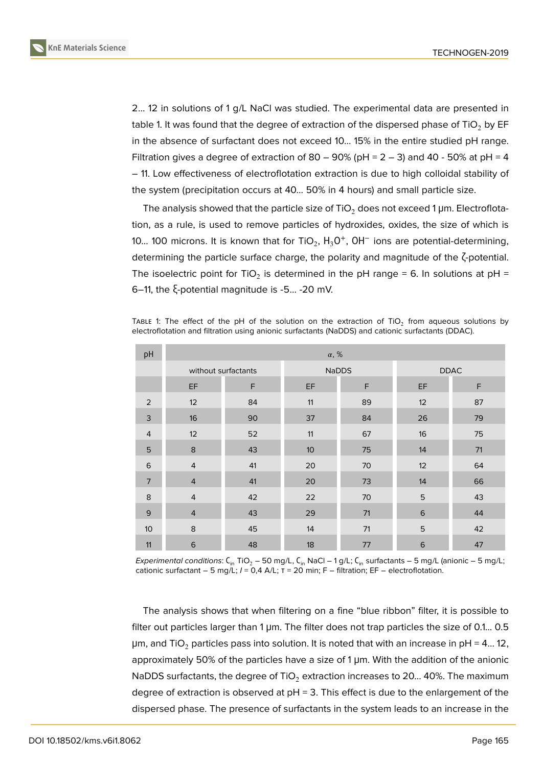

2... 12 in solutions of 1 g/L NaCl was studied. The experimental data are presented in table 1. It was found that the degree of extraction of the dispersed phase of  $TiO<sub>2</sub>$  by EF in the absence of surfactant does not exceed 10... 15% in the entire studied pH range. Filtration gives a degree of extraction of 80 – 90% (pH =  $2 - 3$ ) and 40 - 50% at pH = 4 – 11. Low effectiveness of electroflotation extraction is due to high colloidal stability of the system (precipitation occurs at 40... 50% in 4 hours) and small particle size.

The analysis showed that the particle size of TiO<sub>2</sub> does not exceed 1  $\mu$ m. Electroflotation, as a rule, is used to remove particles of hydroxides, oxides, the size of which is 10... 100 microns. It is known that for TiO<sub>2</sub>,  $H_3O^+$ , OH $^-$  ions are potential-determining, determining the particle surface charge, the polarity and magnitude of the ζ-potential. The isoelectric point for TiO<sub>2</sub> is determined in the pH range = 6. In solutions at pH = 6–11, the ξ-potential magnitude is -5... -20 mV.

TABLE 1: The effect of the pH of the solution on the extraction of TiO<sub>2</sub> from aqueous solutions by electroflotation and filtration using anionic surfactants (NaDDS) and cationic surfactants (DDAC).

| pH             | $\alpha, \%$        |    |    |              |             |    |  |  |  |
|----------------|---------------------|----|----|--------------|-------------|----|--|--|--|
|                | without surfactants |    |    | <b>NaDDS</b> | <b>DDAC</b> |    |  |  |  |
|                | EF                  | E  | EF | F            | EF          | F  |  |  |  |
| 2              | 12                  | 84 | 11 | 89           | 12          | 87 |  |  |  |
| 3              | 16                  | 90 | 37 | 84           | 26          | 79 |  |  |  |
| $\overline{4}$ | 12                  | 52 | 11 | 67           | 16          | 75 |  |  |  |
| 5              | $\bf 8$             | 43 | 10 | 75           | 14          | 71 |  |  |  |
| 6              | $\overline{4}$      | 41 | 20 | 70           | 12          | 64 |  |  |  |
| $\overline{7}$ | $\overline{4}$      | 41 | 20 | 73           | 14          | 66 |  |  |  |
| 8              | $\overline{4}$      | 42 | 22 | 70           | 5           | 43 |  |  |  |
| 9              | $\overline{4}$      | 43 | 29 | 71           | $\,$ 6      | 44 |  |  |  |
| 10             | 8                   | 45 | 14 | 71           | 5           | 42 |  |  |  |
| 11             | 6                   | 48 | 18 | 77           | 6           | 47 |  |  |  |

*Experimental conditions*: C<sub>in</sub> TiO<sub>2</sub> – 50 mg/L, C<sub>in</sub> NaCl – 1 g/L; C<sub>in</sub> surfactants – 5 mg/L (anionic – 5 mg/L; cationic surfactant – 5 mg/L; *I* = 0,4 A/L; τ = 20 min; F – filtration; EF – electroflotation.

The analysis shows that when filtering on a fine "blue ribbon" filter, it is possible to filter out particles larger than 1 μm. The filter does not trap particles the size of 0.1... 0.5  $\mu$ m, and TiO<sub>2</sub> particles pass into solution. It is noted that with an increase in pH = 4... 12, approximately 50% of the particles have a size of 1 μm. With the addition of the anionic NaDDS surfactants, the degree of  $TiO<sub>2</sub>$  extraction increases to 20... 40%. The maximum degree of extraction is observed at  $pH = 3$ . This effect is due to the enlargement of the dispersed phase. The presence of surfactants in the system leads to an increase in the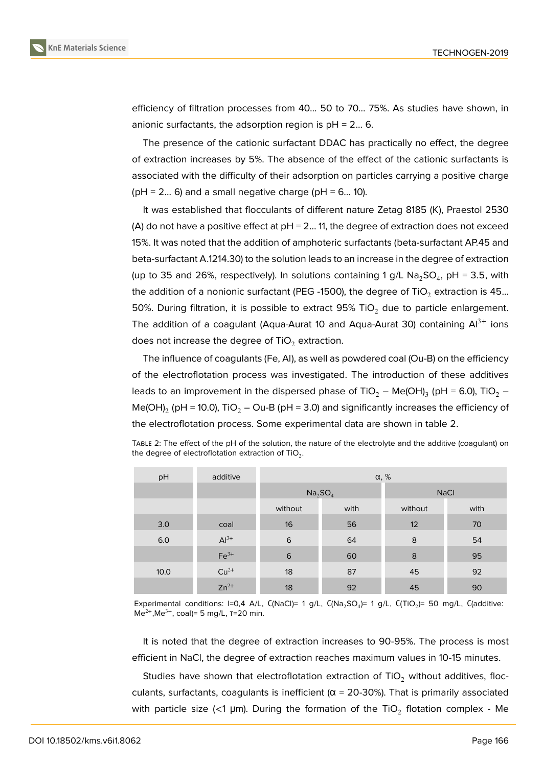

efficiency of filtration processes from 40... 50 to 70... 75%. As studies have shown, in anionic surfactants, the adsorption region is  $pH = 2... 6$ .

The presence of the cationic surfactant DDAC has practically no effect, the degree of extraction increases by 5%. The absence of the effect of the cationic surfactants is associated with the difficulty of their adsorption on particles carrying a positive charge  $(pH = 2... 6)$  and a small negative charge  $(pH = 6... 10)$ .

It was established that flocculants of different nature Zetag 8185 (K), Praestol 2530 (A) do not have a positive effect at  $pH = 2...$  11, the degree of extraction does not exceed 15%. It was noted that the addition of amphoteric surfactants (beta-surfactant AP.45 and beta-surfactant A.1214.30) to the solution leads to an increase in the degree of extraction (up to 35 and 26%, respectively). In solutions containing 1 g/L  $\mathrm{Na_{2}SO_{4}}$ , pH = 3.5, with the addition of a nonionic surfactant (PEG -1500), the degree of TiO<sub>2</sub> extraction is 45... 50%. During filtration, it is possible to extract 95% TiO<sub>2</sub> due to particle enlargement. The addition of a coagulant (Aqua-Aurat 10 and Aqua-Aurat 30) containing  $Al^{3+}$  ions does not increase the degree of  $TiO<sub>2</sub>$  extraction.

The influence of coagulants (Fe, Al), as well as powdered coal (Ou-B) on the efficiency of the electroflotation process was investigated. The introduction of these additives leads to an improvement in the dispersed phase of TiO $_2$  – Me(OH) $_3$  (pH = 6.0), TiO $_2$  – Me(OH) $_2$  (pH = 10.0), TiO $_2$  — Ou-B (pH = 3.0) and significantly increases the efficiency of the electroflotation process. Some experimental data are shown in table 2.

| pH    | additive  | $\alpha, \%$                    |      |             |      |  |  |
|-------|-----------|---------------------------------|------|-------------|------|--|--|
|       |           | Na <sub>2</sub> SO <sub>4</sub> |      | <b>NaCl</b> |      |  |  |
|       |           | without                         | with | without     | with |  |  |
| 3.0   | coal      | 16                              | 56   | 12          | 70   |  |  |
| $6.0$ | $Al3+$    | 6                               | 64   | 8           | 54   |  |  |
|       | $Fe3+$    | 6                               | 60   | 8           | 95   |  |  |
| 10.0  | $Cu2+$    | 18                              | 87   | 45          | 92   |  |  |
|       | $Zn^{2+}$ | 18                              | 92   | 45          | 90   |  |  |

TABLE 2: The effect of the pH of the solution, the nature of the electrolyte and the additive (coagulant) on the degree of electroflotation extraction of TiO $_2$ .

Experimental conditions: I=0,4 A/L, C(NaCI)= 1 g/L, C(Na<sub>2</sub>SO<sub>4</sub>)= 1 g/L, C(TiO<sub>2</sub>)= 50 mg/L, C(additive:  $Me^{2+}$ , Me<sup>3+</sup>, coal)= 5 mg/L,  $T=20$  min.

It is noted that the degree of extraction increases to 90-95%. The process is most efficient in NaCl, the degree of extraction reaches maximum values in 10-15 minutes.

Studies have shown that electroflotation extraction of  $TiO<sub>2</sub>$  without additives, flocculants, surfactants, coagulants is inefficient ( $\alpha$  = 20-30%). That is primarily associated with particle size (<1 µm). During the formation of the TiO $_2$  flotation complex - Me